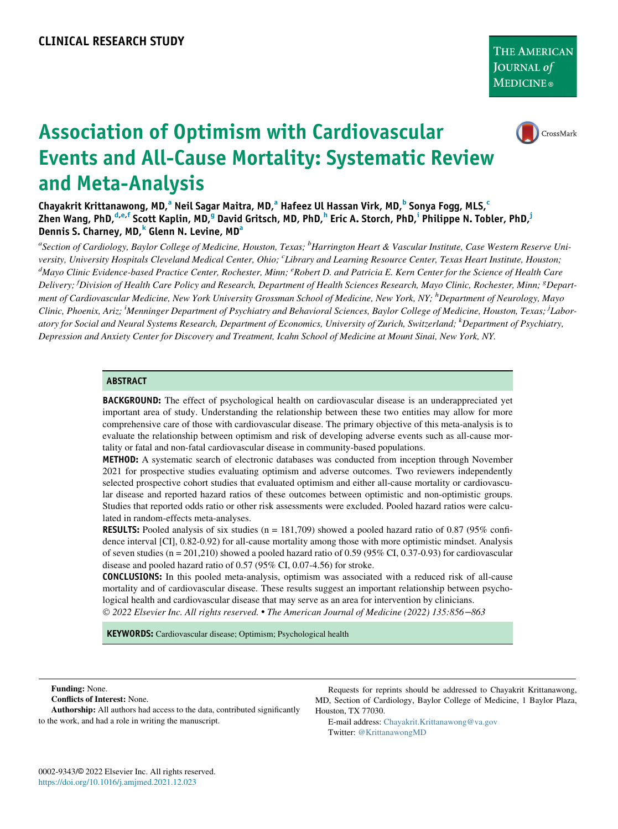

# Association of Optimism with Cardiovascular Events and All-Cause Mortality: Systematic Review and Meta-Analysis

Ch[a](#page-0-0)yakrit Krittanawong, MD,<sup>a</sup> Neil Sagar Maitra, MD,<sup>a</sup> Hafeez Ul Hassan Virk, MD,<sup>[b](#page-0-0)</sup> Sonya Fogg, MLS,<sup>[c](#page-0-1)</sup> Zhen Wang, PhD,<sup>[d,](#page-0-1)[e,](#page-0-2)[f](#page-0-3)</sup> Scott Kaplin, MD,<sup>[g](#page-0-3)</sup> David Gritsc[h](#page-0-4), MD, PhD,<sup>h</sup> Er[i](#page-0-5)c A. Storch, PhD,<sup>i</sup> Philippe N. Tobler, PhD,<sup>i</sup> Dennis S. Charney, MD, <sup>[k](#page-0-6)</sup> Glenn N. Levine, MD<sup>[a](#page-0-0)</sup>

<span id="page-0-6"></span><span id="page-0-5"></span><span id="page-0-4"></span><span id="page-0-3"></span><span id="page-0-2"></span><span id="page-0-1"></span><span id="page-0-0"></span><sup>a</sup>Section of Cardiology, Baylor College of Medicine, Houston, Texas; <sup>b</sup>Harrington Heart & Vascular Institute, Case Western Reserve University, University Hospitals Cleveland Medical Center, Ohio; <sup>c</sup>Library and Learning Resource Center, Texas Heart Institute, Houston; <sup>d</sup>Mayo Clinic Evidence-based Practice Center, Rochester, Minn; <sup>e</sup>Robert D. and Patricia E. Kern Center for the Science of Health Care Delivery; <sup>f</sup>Division of Health Care Policy and Research, Department of Health Sciences Research, Mayo Clinic, Rochester, Minn; <sup>8</sup>Department of Cardiovascular Medicine, New York University Grossman School of Medicine, New York, NY; <sup>h</sup>Department of Neurology, Mayo Clinic, Phoenix, Ariz; <sup>i</sup>Menninger Department of Psychiatry and Behavioral Sciences, Baylor College of Medicine, Houston, Texas; <sup>j</sup>Laboratory for Social and Neural Systems Research, Department of Economics, University of Zurich, Switzerland; <sup>k</sup>Department of Psychiatry, Depression and Anxiety Center for Discovery and Treatment, Icahn School of Medicine at Mount Sinai, New York, NY.

#### ABSTRACT

**BACKGROUND:** The effect of psychological health on cardiovascular disease is an underappreciated yet important area of study. Understanding the relationship between these two entities may allow for more comprehensive care of those with cardiovascular disease. The primary objective of this meta-analysis is to evaluate the relationship between optimism and risk of developing adverse events such as all-cause mortality or fatal and non-fatal cardiovascular disease in community-based populations.

METHOD: A systematic search of electronic databases was conducted from inception through November 2021 for prospective studies evaluating optimism and adverse outcomes. Two reviewers independently selected prospective cohort studies that evaluated optimism and either all-cause mortality or cardiovascular disease and reported hazard ratios of these outcomes between optimistic and non-optimistic groups. Studies that reported odds ratio or other risk assessments were excluded. Pooled hazard ratios were calculated in random-effects meta-analyses.

**RESULTS:** Pooled analysis of six studies (n = 181,709) showed a pooled hazard ratio of 0.87 (95% confidence interval [CI], 0.82-0.92) for all-cause mortality among those with more optimistic mindset. Analysis of seven studies (n = 201,210) showed a pooled hazard ratio of 0.59 (95% CI, 0.37-0.93) for cardiovascular disease and pooled hazard ratio of 0.57 (95% CI, 0.07-4.56) for stroke.

CONCLUSIONS: In this pooled meta-analysis, optimism was associated with a reduced risk of all-cause mortality and of cardiovascular disease. These results suggest an important relationship between psychological health and cardiovascular disease that may serve as an area for intervention by clinicians. 2022 Elsevier Inc. All rights reserved. The American Journal of Medicine (2022) 135:856−863

KEYWORDS: Cardiovascular disease; Optimism; Psychological health

#### Funding: None.

Conflicts of Interest: None.

Authorship: All authors had access to the data, contributed significantly to the work, and had a role in writing the manuscript.

Requests for reprints should be addressed to Chayakrit Krittanawong, MD, Section of Cardiology, Baylor College of Medicine, 1 Baylor Plaza, Houston, TX 77030.

E-mail address: [Chayakrit.Krittanawong@va.gov](mailto:Chayakrit.Krittanawong@va.gov) Twitter: [@KrittanawongMD](mailto:@KrittanawongMD)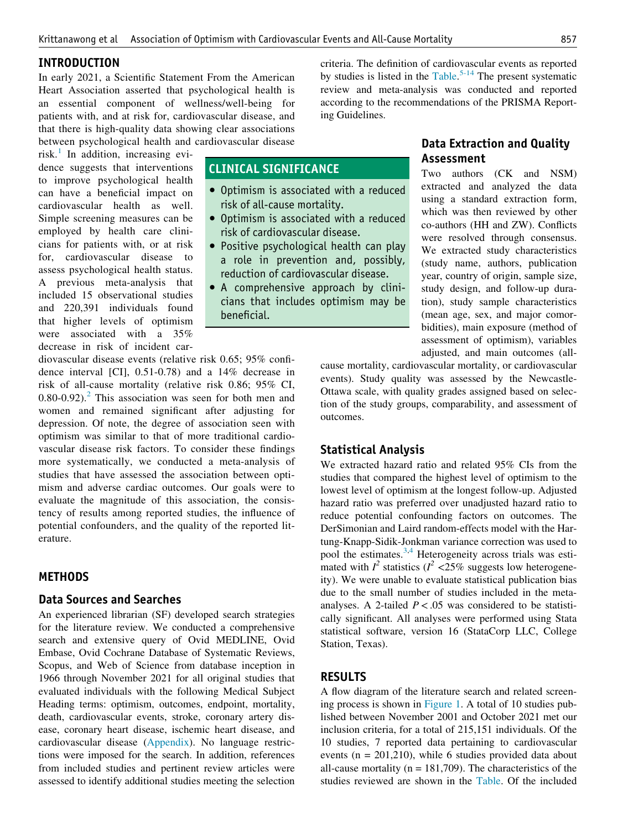#### INTRODUCTION

In early 2021, a Scientific Statement From the American Heart Association asserted that psychological health is an essential component of wellness/well-being for patients with, and at risk for, cardiovascular disease, and that there is high-quality data showing clear associations between psychological health and cardiovascular disease

risk. $\frac{1}{1}$  $\frac{1}{1}$  $\frac{1}{1}$  In addition, increasing evidence suggests that interventions to improve psychological health can have a beneficial impact on cardiovascular health as well. Simple screening measures can be employed by health care clinicians for patients with, or at risk for, cardiovascular disease to assess psychological health status. A previous meta-analysis that included 15 observational studies and 220,391 individuals found that higher levels of optimism were associated with a 35% decrease in risk of incident car-

CLINICAL SIGNIFICANCE

- Optimism is associated with a reduced risk of all-cause mortality.
- Optimism is associated with a reduced risk of cardiovascular disease.
- Positive psychological health can play a role in prevention and, possibly, reduction of cardiovascular disease.
- A comprehensive approach by clinicians that includes optimism may be beneficial.

diovascular disease events (relative risk 0.65; 95% confidence interval [CI], 0.51-0.78) and a 14% decrease in risk of all-cause mortality (relative risk 0.86; 95% CI,  $0.80$ -0.9[2](#page-6-1)).<sup>2</sup> This association was seen for both men and women and remained significant after adjusting for depression. Of note, the degree of association seen with optimism was similar to that of more traditional cardiovascular disease risk factors. To consider these findings more systematically, we conducted a meta-analysis of studies that have assessed the association between optimism and adverse cardiac outcomes. Our goals were to evaluate the magnitude of this association, the consistency of results among reported studies, the influence of potential confounders, and the quality of the reported literature.

## **METHODS**

#### Data Sources and Searches

An experienced librarian (SF) developed search strategies for the literature review. We conducted a comprehensive search and extensive query of Ovid MEDLINE, Ovid Embase, Ovid Cochrane Database of Systematic Reviews, Scopus, and Web of Science from database inception in 1966 through November 2021 for all original studies that evaluated individuals with the following Medical Subject Heading terms: optimism, outcomes, endpoint, mortality, death, cardiovascular events, stroke, coronary artery disease, coronary heart disease, ischemic heart disease, and cardiovascular disease [\(Appendix](#page-8-0)). No language restrictions were imposed for the search. In addition, references from included studies and pertinent review articles were assessed to identify additional studies meeting the selection criteria. The definition of cardiovascular events as reported by studies is listed in the [Table.](#page-2-0)<sup>[5-14](#page-6-2)</sup> The present systematic review and meta-analysis was conducted and reported according to the recommendations of the PRISMA Reporting Guidelines.

# Data Extraction and Quality Assessment

Two authors (CK and NSM) extracted and analyzed the data using a standard extraction form, which was then reviewed by other co-authors (HH and ZW). Conflicts were resolved through consensus. We extracted study characteristics (study name, authors, publication year, country of origin, sample size, study design, and follow-up duration), study sample characteristics (mean age, sex, and major comorbidities), main exposure (method of assessment of optimism), variables adjusted, and main outcomes (all-

cause mortality, cardiovascular mortality, or cardiovascular events). Study quality was assessed by the Newcastle-Ottawa scale, with quality grades assigned based on selection of the study groups, comparability, and assessment of outcomes.

#### Statistical Analysis

We extracted hazard ratio and related 95% CIs from the studies that compared the highest level of optimism to the lowest level of optimism at the longest follow-up. Adjusted hazard ratio was preferred over unadjusted hazard ratio to reduce potential confounding factors on outcomes. The DerSimonian and Laird random-effects model with the Hartung-Knapp-Sidik-Jonkman variance correction was used to pool the estimates. $3,4$  $3,4$  Heterogeneity across trials was estimated with  $I^2$  statistics ( $I^2$  <25% suggests low heterogeneity). We were unable to evaluate statistical publication bias due to the small number of studies included in the metaanalyses. A 2-tailed  $P < .05$  was considered to be statistically significant. All analyses were performed using Stata statistical software, version 16 (StataCorp LLC, College Station, Texas).

#### RESULTS

A flow diagram of the literature search and related screening process is shown in [Figure 1.](#page-3-0) A total of 10 studies published between November 2001 and October 2021 met our inclusion criteria, for a total of 215,151 individuals. Of the 10 studies, 7 reported data pertaining to cardiovascular events ( $n = 201,210$ ), while 6 studies provided data about all-cause mortality ( $n = 181,709$ ). The characteristics of the studies reviewed are shown in the [Table.](#page-2-0) Of the included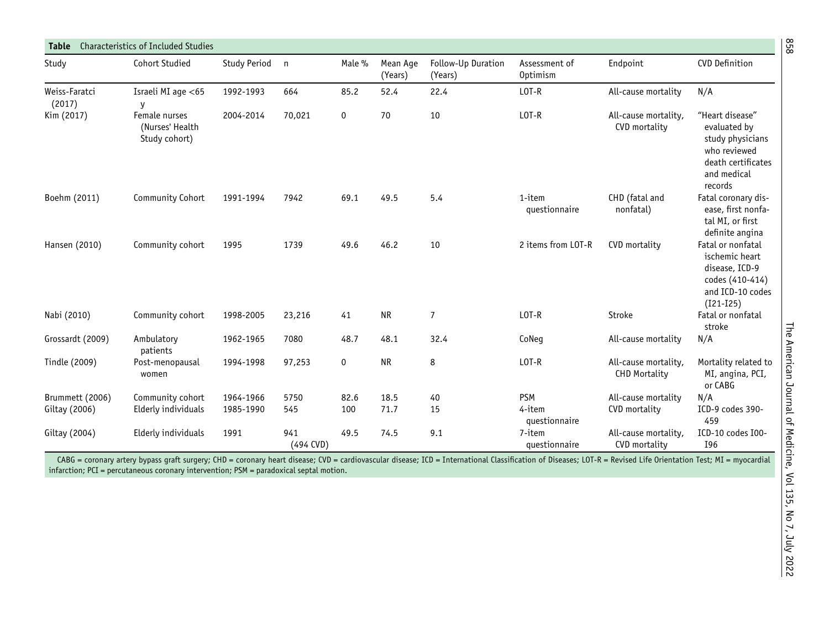<span id="page-2-0"></span>

| Study                   | <b>Cohort Studied</b>                             | Study Period | $\mathsf{n}$     | Male %      | Mean Age<br>(Years) | Follow-Up Duration<br>(Years) | Assessment of<br>Optimism | Endpoint                                     | <b>CVD Definition</b>                                                                                               |
|-------------------------|---------------------------------------------------|--------------|------------------|-------------|---------------------|-------------------------------|---------------------------|----------------------------------------------|---------------------------------------------------------------------------------------------------------------------|
| Weiss-Faratci<br>(2017) | Israeli MI age $<$ 65<br>y                        | 1992-1993    | 664              | 85.2        | 52.4                | 22.4                          | LOT-R                     | All-cause mortality                          | N/A                                                                                                                 |
| Kim (2017)              | Female nurses<br>(Nurses' Health<br>Study cohort) | 2004-2014    | 70,021           | 0           | 70                  | 10                            | LOT-R                     | All-cause mortality,<br>CVD mortality        | "Heart disease"<br>evaluated by<br>study physicians<br>who reviewed<br>death certificates<br>and medical<br>records |
| Boehm (2011)            | Community Cohort                                  | 1991-1994    | 7942             | 69.1        | 49.5                | 5.4                           | 1-item<br>questionnaire   | CHD (fatal and<br>nonfatal)                  | Fatal coronary dis-<br>ease, first nonfa-<br>tal MI, or first<br>definite angina                                    |
| Hansen (2010)           | Community cohort                                  | 1995         | 1739             | 49.6        | 46.2                | 10                            | 2 items from LOT-R        | CVD mortality                                | Fatal or nonfatal<br>ischemic heart<br>disease, ICD-9<br>codes (410-414)<br>and ICD-10 codes<br>$(I21-I25)$         |
| Nabi (2010)             | Community cohort                                  | 1998-2005    | 23,216           | 41          | <b>NR</b>           | $\overline{7}$                | LOT-R                     | Stroke                                       | Fatal or nonfatal<br>stroke                                                                                         |
| Grossardt (2009)        | Ambulatory<br>patients                            | 1962-1965    | 7080             | 48.7        | 48.1                | 32.4                          | CoNeg                     | All-cause mortality                          | N/A                                                                                                                 |
| Tindle (2009)           | Post-menopausal<br>women                          | 1994-1998    | 97,253           | $\mathbf 0$ | <b>NR</b>           | 8                             | $LOT-R$                   | All-cause mortality,<br><b>CHD Mortality</b> | Mortality related to<br>MI, angina, PCI,<br>or CABG                                                                 |
| Brummett (2006)         | Community cohort                                  | 1964-1966    | 5750             | 82.6        | 18.5                | 40                            | <b>PSM</b>                | All-cause mortality                          | N/A                                                                                                                 |
| Giltay (2006)           | Elderly individuals                               | 1985-1990    | 545              | 100         | 71.7                | 15                            | 4-item<br>questionnaire   | CVD mortality                                | ICD-9 codes 390-<br>459                                                                                             |
| Giltay (2004)           | Elderly individuals                               | 1991         | 941<br>(494 CVD) | 49.5        | 74.5                | 9.1                           | 7-item<br>questionnaire   | All-cause mortality,<br>CVD mortality        | ICD-10 codes I00-<br>I96                                                                                            |

CABG = coronary artery bypass graft surgery; CHD = coronary heart disease; CVD = cardiovascular disease; ICD = International Classification of Diseases; LOT-R = Revised Life Orientation Test; MI = myocardial infarction; PCI <sup>=</sup> percutaneous coronary intervention; PSM <sup>=</sup> paradoxical septal motion.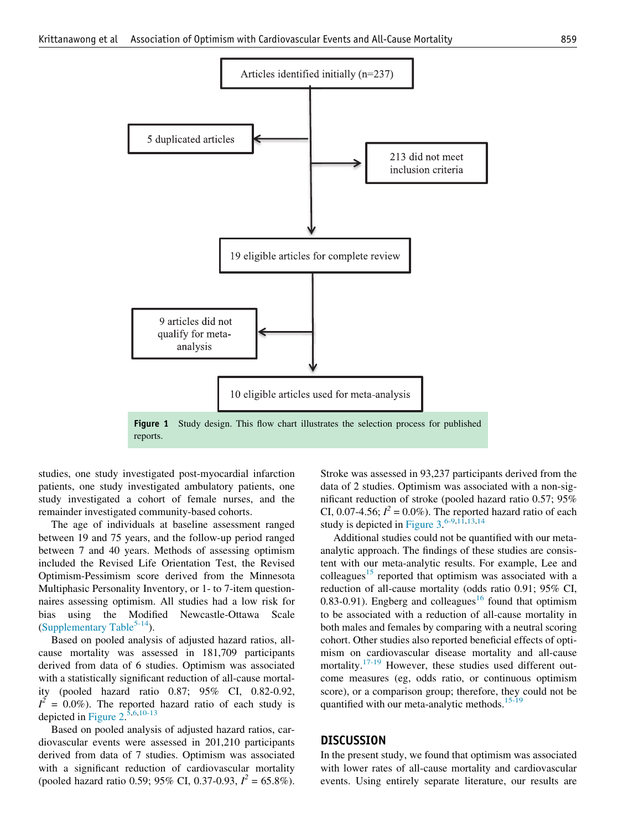<span id="page-3-0"></span>

studies, one study investigated post-myocardial infarction patients, one study investigated ambulatory patients, one study investigated a cohort of female nurses, and the remainder investigated community-based cohorts.

The age of individuals at baseline assessment ranged between 19 and 75 years, and the follow-up period ranged between 7 and 40 years. Methods of assessing optimism included the Revised Life Orientation Test, the Revised Optimism-Pessimism score derived from the Minnesota Multiphasic Personality Inventory, or 1- to 7-item questionnaires assessing optimism. All studies had a low risk for bias using the Modified Newcastle-Ottawa Scale [\(Supplementary Table](#page-9-0)<sup>5-14</sup>).

Based on pooled analysis of adjusted hazard ratios, allcause mortality was assessed in 181,709 participants derived from data of 6 studies. Optimism was associated with a statistically significant reduction of all-cause mortality (pooled hazard ratio 0.87; 95% CI, 0.82-0.92,  $I^2 = 0.0\%$ ). The reported hazard ratio of each study is depicted in Figure  $2^{5,6,10-13}$  $2^{5,6,10-13}$  $2^{5,6,10-13}$  $2^{5,6,10-13}$  $2^{5,6,10-13}$  $2^{5,6,10-13}$ 

Based on pooled analysis of adjusted hazard ratios, cardiovascular events were assessed in 201,210 participants derived from data of 7 studies. Optimism was associated with a significant reduction of cardiovascular mortality (pooled hazard ratio 0.59; 95% CI, 0.37-0.93,  $I^2 = 65.8\%$ ).

Stroke was assessed in 93,237 participants derived from the data of 2 studies. Optimism was associated with a non-significant reduction of stroke (pooled hazard ratio 0.57; 95% CI, 0.07-4.56;  $I^2 = 0.0\%$ ). The reported hazard ratio of each study is depicted in Figure  $3.^{6-9,1\overline{1},13,14}$  $3.^{6-9,1\overline{1},13,14}$  $3.^{6-9,1\overline{1},13,14}$  $3.^{6-9,1\overline{1},13,14}$  $3.^{6-9,1\overline{1},13,14}$  $3.^{6-9,1\overline{1},13,14}$ 

Additional studies could not be quantified with our metaanalytic approach. The findings of these studies are consistent with our meta-analytic results. For example, Lee and colleagues<sup>[15](#page-6-10)</sup> reported that optimism was associated with a reduction of all-cause mortality (odds ratio 0.91; 95% CI, 0.83-0.91). Engberg and colleagues<sup>[16](#page-6-11)</sup> found that optimism to be associated with a reduction of all-cause mortality in both males and females by comparing with a neutral scoring cohort. Other studies also reported beneficial effects of optimism on cardiovascular disease mortality and all-cause mortality.<sup>[17-19](#page-6-12)</sup> However, these studies used different outcome measures (eg, odds ratio, or continuous optimism score), or a comparison group; therefore, they could not be quantified with our meta-analytic methods.<sup>15-19</sup>

#### **DISCUSSION**

In the present study, we found that optimism was associated with lower rates of all-cause mortality and cardiovascular events. Using entirely separate literature, our results are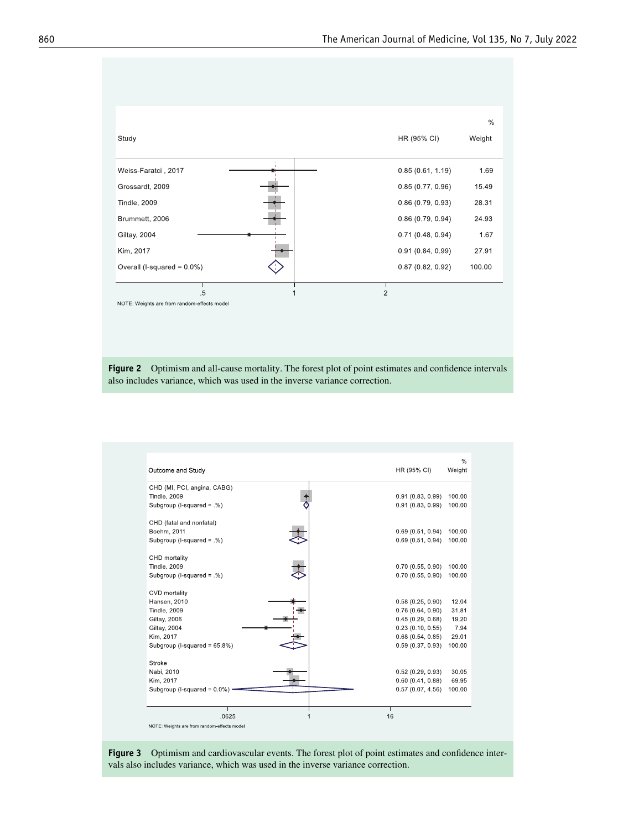<span id="page-4-0"></span>

<span id="page-4-1"></span>Figure 2 Optimism and all-cause mortality. The forest plot of point estimates and confidence intervals also includes variance, which was used in the inverse variance correction.

| Outcome and Study               | HR (95% CI)<br>Weight      |
|---------------------------------|----------------------------|
| CHD (MI, PCI, angina, CABG)     |                            |
| <b>Tindle, 2009</b>             | 0.91(0.83, 0.99)<br>100.00 |
| Subgroup (I-squared = .%)       | 0.91(0.83, 0.99)<br>100.00 |
| CHD (fatal and nonfatal)        |                            |
| Boehm, 2011                     | 0.69(0.51, 0.94)<br>100.00 |
| Subgroup (I-squared = .%)       | 0.69(0.51, 0.94)<br>100.00 |
| CHD mortality                   |                            |
| <b>Tindle, 2009</b>             | 0.70(0.55, 0.90)<br>100.00 |
| Subgroup (I-squared = .%)       | 0.70(0.55, 0.90)<br>100.00 |
| CVD mortality                   |                            |
| Hansen, 2010                    | 12.04<br>0.58(0.25, 0.90)  |
| <b>Tindle, 2009</b>             | 31.81<br>0.76(0.64, 0.90)  |
| Giltay, 2006                    | 0.45(0.29, 0.68)<br>19.20  |
| Giltay, 2004                    | 0.23(0.10, 0.55)<br>7.94   |
| Kim. 2017                       | 0.68(0.54, 0.85)<br>29.01  |
| Subgroup (I-squared = 65.8%)    | 0.59(0.37, 0.93)<br>100.00 |
| Stroke                          |                            |
| Nabi, 2010                      | 0.52(0.29, 0.93)<br>30.05  |
| Kim, 2017                       | 0.60(0.41, 0.88)<br>69.95  |
| Subgroup (I-squared = $0.0\%$ ) | 0.57(0.07, 4.56)<br>100.00 |
|                                 | т                          |

Figure 3 Optimism and cardiovascular events. The forest plot of point estimates and confidence intervals also includes variance, which was used in the inverse variance correction.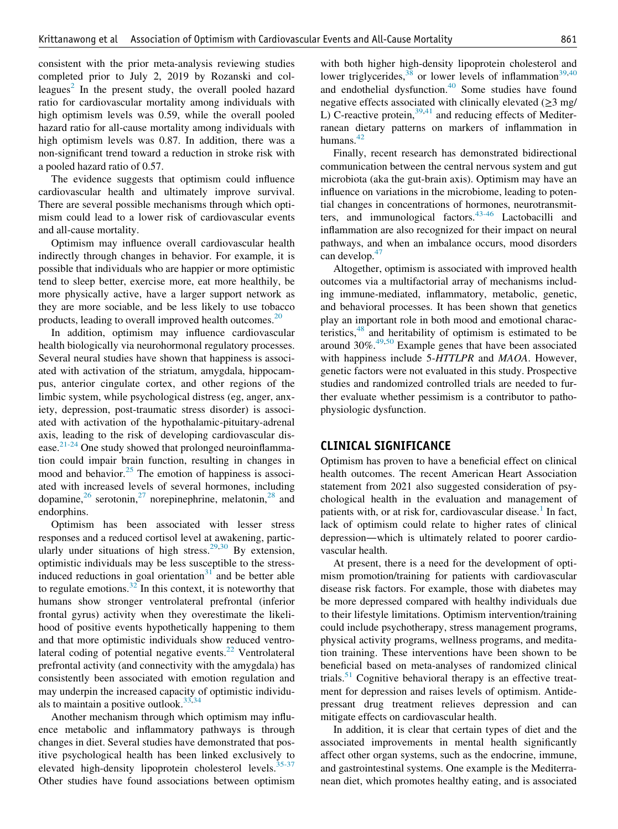consistent with the prior meta-analysis reviewing studies completed prior to July 2, 2019 by Rozanski and col-leagues<sup>[2](#page-6-1)</sup> In the present study, the overall pooled hazard ratio for cardiovascular mortality among individuals with high optimism levels was 0.59, while the overall pooled hazard ratio for all-cause mortality among individuals with high optimism levels was 0.87. In addition, there was a non-significant trend toward a reduction in stroke risk with a pooled hazard ratio of 0.57.

The evidence suggests that optimism could influence cardiovascular health and ultimately improve survival. There are several possible mechanisms through which optimism could lead to a lower risk of cardiovascular events and all-cause mortality.

Optimism may influence overall cardiovascular health indirectly through changes in behavior. For example, it is possible that individuals who are happier or more optimistic tend to sleep better, exercise more, eat more healthily, be more physically active, have a larger support network as they are more sociable, and be less likely to use tobacco products, leading to overall improved health outcomes.<sup>[20](#page-6-13)</sup>

In addition, optimism may influence cardiovascular health biologically via neurohormonal regulatory processes. Several neural studies have shown that happiness is associated with activation of the striatum, amygdala, hippocampus, anterior cingulate cortex, and other regions of the limbic system, while psychological distress (eg, anger, anxiety, depression, post-traumatic stress disorder) is associated with activation of the hypothalamic-pituitary-adrenal axis, leading to the risk of developing cardiovascular disease. $2^{1-24}$  One study showed that prolonged neuroinflammation could impair brain function, resulting in changes in mood and behavior.<sup>25</sup> The emotion of happiness is associated with increased levels of several hormones, including dopamine,<sup>[26](#page-7-1)</sup> serotonin,<sup>[27](#page-7-2)</sup> norepinephrine, melatonin,<sup>[28](#page-7-3)</sup> and endorphins.

Optimism has been associated with lesser stress responses and a reduced cortisol level at awakening, partic-ularly under situations of high stress.<sup>[29](#page-7-4)[,30](#page-7-5)</sup> By extension, optimistic individuals may be less susceptible to the stressinduced reductions in goal orientation $31$  and be better able to regulate emotions. $32$  In this context, it is noteworthy that humans show stronger ventrolateral prefrontal (inferior frontal gyrus) activity when they overestimate the likelihood of positive events hypothetically happening to them and that more optimistic individuals show reduced ventro-lateral coding of potential negative events.<sup>[22](#page-6-15)</sup> Ventrolateral prefrontal activity (and connectivity with the amygdala) has consistently been associated with emotion regulation and may underpin the increased capacity of optimistic individuals to maintain a positive outlook. $33,34$  $33,34$ 

Another mechanism through which optimism may influence metabolic and inflammatory pathways is through changes in diet. Several studies have demonstrated that positive psychological health has been linked exclusively to elevated high-density lipoprotein cholesterol levels.<sup>35-37</sup> Other studies have found associations between optimism

with both higher high-density lipoprotein cholesterol and lower triglycerides,  $38$  or lower levels of inflammation<sup>[39,](#page-7-12)[40](#page-7-13)</sup> and endothelial dysfunction. $40$  Some studies have found negative effects associated with clinically elevated  $(\geq 3 \text{ mg}/)$ L) C-reactive protein,  $39,41$  $39,41$  and reducing effects of Mediterranean dietary patterns on markers of inflammation in humans. $42$ 

Finally, recent research has demonstrated bidirectional communication between the central nervous system and gut microbiota (aka the gut-brain axis). Optimism may have an influence on variations in the microbiome, leading to potential changes in concentrations of hormones, neurotransmitters, and immunological factors.[43-46](#page-7-16) Lactobacilli and inflammation are also recognized for their impact on neural pathways, and when an imbalance occurs, mood disorders can develop.<sup>[47](#page-7-17)</sup>

Altogether, optimism is associated with improved health outcomes via a multifactorial array of mechanisms including immune-mediated, inflammatory, metabolic, genetic, and behavioral processes. It has been shown that genetics play an important role in both mood and emotional characteristics, $48$  and heritability of optimism is estimated to be around  $30\%$ .<sup>49,[50](#page-7-20)</sup> Example genes that have been associated with happiness include 5-HTTLPR and MAOA. However, genetic factors were not evaluated in this study. Prospective studies and randomized controlled trials are needed to further evaluate whether pessimism is a contributor to pathophysiologic dysfunction.

#### CLINICAL SIGNIFICANCE

Optimism has proven to have a beneficial effect on clinical health outcomes. The recent American Heart Association statement from 2021 also suggested consideration of psychological health in the evaluation and management of patients with, or at risk for, cardiovascular disease.<sup>[1](#page-6-0)</sup> In fact, lack of optimism could relate to higher rates of clinical depression—which is ultimately related to poorer cardiovascular health.

At present, there is a need for the development of optimism promotion/training for patients with cardiovascular disease risk factors. For example, those with diabetes may be more depressed compared with healthy individuals due to their lifestyle limitations. Optimism intervention/training could include psychotherapy, stress management programs, physical activity programs, wellness programs, and meditation training. These interventions have been shown to be beneficial based on meta-analyses of randomized clinical trials.<sup>[51](#page-7-21)</sup> Cognitive behavioral therapy is an effective treatment for depression and raises levels of optimism. Antidepressant drug treatment relieves depression and can mitigate effects on cardiovascular health.

In addition, it is clear that certain types of diet and the associated improvements in mental health significantly affect other organ systems, such as the endocrine, immune, and gastrointestinal systems. One example is the Mediterranean diet, which promotes healthy eating, and is associated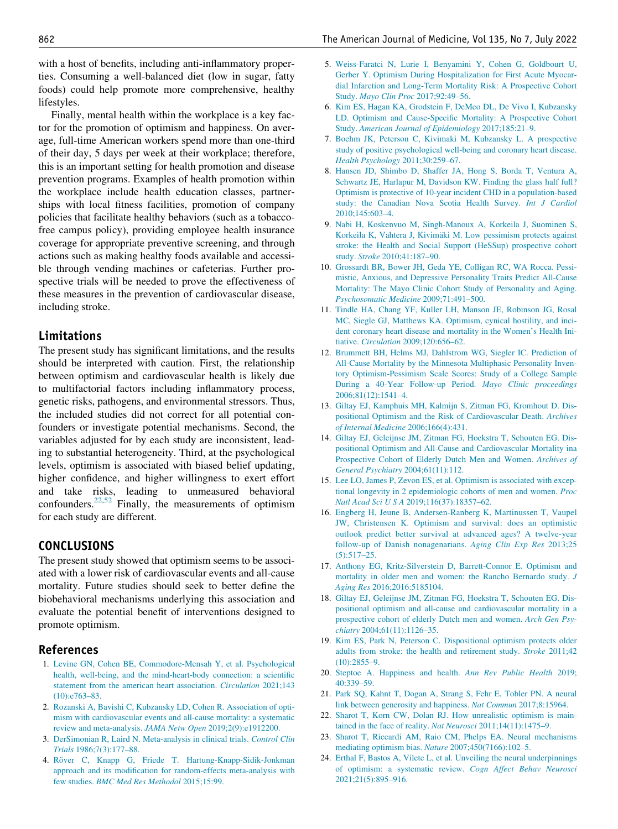<span id="page-6-2"></span>with a host of benefits, including anti-inflammatory properties. Consuming a well-balanced diet (low in sugar, fatty foods) could help promote more comprehensive, healthy lifestyles.

<span id="page-6-5"></span>Finally, mental health within the workplace is a key factor for the promotion of optimism and happiness. On average, full-time American workers spend more than one-third of their day, 5 days per week at their workplace; therefore, this is an important setting for health promotion and disease prevention programs. Examples of health promotion within the workplace include health education classes, partnerships with local fitness facilities, promotion of company policies that facilitate healthy behaviors (such as a tobaccofree campus policy), providing employee health insurance coverage for appropriate preventive screening, and through actions such as making healthy foods available and accessible through vending machines or cafeterias. Further prospective trials will be needed to prove the effectiveness of these measures in the prevention of cardiovascular disease, including stroke.

## <span id="page-6-7"></span><span id="page-6-6"></span>Limitations

<span id="page-6-9"></span><span id="page-6-8"></span>The present study has significant limitations, and the results should be interpreted with caution. First, the relationship between optimism and cardiovascular health is likely due to multifactorial factors including inflammatory process, genetic risks, pathogens, and environmental stressors. Thus, the included studies did not correct for all potential confounders or investigate potential mechanisms. Second, the variables adjusted for by each study are inconsistent, leading to substantial heterogeneity. Third, at the psychological levels, optimism is associated with biased belief updating, higher confidence, and higher willingness to exert effort and take risks, leading to unmeasured behavioral confounders.[22](#page-6-15),[52](#page-7-22) Finally, the measurements of optimism for each study are different.

#### <span id="page-6-11"></span><span id="page-6-10"></span>CONCLUSIONS

<span id="page-6-12"></span>The present study showed that optimism seems to be associated with a lower risk of cardiovascular events and all-cause mortality. Future studies should seek to better define the biobehavioral mechanisms underlying this association and evaluate the potential benefit of interventions designed to promote optimism.

#### <span id="page-6-0"></span>References

- <span id="page-6-13"></span>1. [Levine GN, Cohen BE, Commodore-Mensah Y, et al. Psychological](http://refhub.elsevier.com/S0002-9343(22)00075-4/sbref0001) [health, well-being, and the mind-heart-body connection: a scientific](http://refhub.elsevier.com/S0002-9343(22)00075-4/sbref0001) [statement from the american heart association.](http://refhub.elsevier.com/S0002-9343(22)00075-4/sbref0001) Circulation 2021;143 [\(10\):e763–83.](http://refhub.elsevier.com/S0002-9343(22)00075-4/sbref0001)
- <span id="page-6-15"></span><span id="page-6-14"></span><span id="page-6-1"></span>2. [Rozanski A, Bavishi C, Kubzansky LD, Cohen R. Association of opti](http://refhub.elsevier.com/S0002-9343(22)00075-4/sbref0002)[mism with cardiovascular events and all-cause mortality: a systematic](http://refhub.elsevier.com/S0002-9343(22)00075-4/sbref0002) [review and meta-analysis.](http://refhub.elsevier.com/S0002-9343(22)00075-4/sbref0002) JAMA Netw Open 2019;2(9):e1912200.
- <span id="page-6-3"></span>3. [DerSimonian R, Laird N. Meta-analysis in clinical trials.](http://refhub.elsevier.com/S0002-9343(22)00075-4/sbref0003) Control Clin Trials [1986;7\(3\):177–88.](http://refhub.elsevier.com/S0002-9343(22)00075-4/sbref0003)
- <span id="page-6-4"></span>4. [R](http://refhub.elsevier.com/S0002-9343(22)00075-4/sbref0004)över C, Knapp G, Friede T. Hartung-Knapp-Sidik-Jonkman [approach and its modification for random-effects meta-analysis with](http://refhub.elsevier.com/S0002-9343(22)00075-4/sbref0004) few studies. [BMC Med Res Methodol](http://refhub.elsevier.com/S0002-9343(22)00075-4/sbref0004) 2015;15:99.
- 5. [Weiss-Faratci N, Lurie I, Benyamini Y, Cohen G, Goldbourt U,](http://refhub.elsevier.com/S0002-9343(22)00075-4/sbref5001) [Gerber Y. Optimism During Hospitalization for First Acute Myocar](http://refhub.elsevier.com/S0002-9343(22)00075-4/sbref5001)[dial Infarction and Long-Term Mortality Risk: A Prospective Cohort](http://refhub.elsevier.com/S0002-9343(22)00075-4/sbref5001) Study. [Mayo Clin Proc](http://refhub.elsevier.com/S0002-9343(22)00075-4/sbref5001) 2017;92:49–56.
- 6. [Kim ES, Hagan KA, Grodstein F, DeMeo DL, De Vivo I, Kubzansky](http://refhub.elsevier.com/S0002-9343(22)00075-4/sbref5002) [LD. Optimism and Cause-Specific Mortality: A Prospective Cohort](http://refhub.elsevier.com/S0002-9343(22)00075-4/sbref5002) Study. [American Journal of Epidemiology](http://refhub.elsevier.com/S0002-9343(22)00075-4/sbref5002) 2017;185:21–9.
- 7. [Boehm JK, Peterson C, Kivimaki M, Kubzansky L. A prospective](http://refhub.elsevier.com/S0002-9343(22)00075-4/sbref5003) [study of positive psychological well-being and coronary heart disease.](http://refhub.elsevier.com/S0002-9343(22)00075-4/sbref5003) [Health Psychology](http://refhub.elsevier.com/S0002-9343(22)00075-4/sbref5003) 2011;30:259–67.
- 8. [Hansen JD, Shimbo D, Shaffer JA, Hong S, Borda T, Ventura A,](http://refhub.elsevier.com/S0002-9343(22)00075-4/sbref5004) [Schwartz JE, Harlapur M, Davidson KW. Finding the glass half full?](http://refhub.elsevier.com/S0002-9343(22)00075-4/sbref5004) [Optimism is protective of 10-year incident CHD in a population-based](http://refhub.elsevier.com/S0002-9343(22)00075-4/sbref5004) [study: the Canadian Nova Scotia Health Survey.](http://refhub.elsevier.com/S0002-9343(22)00075-4/sbref5004) Int J Cardiol [2010;145:603–4.](http://refhub.elsevier.com/S0002-9343(22)00075-4/sbref5004)
- 9. [Nabi H, Koskenvuo M, Singh-Manoux A, Korkeila J, Suominen S,](http://refhub.elsevier.com/S0002-9343(22)00075-4/sbref5005) Korkeila K, Vahtera J, Kivimäki M. Low pessimism protects against [stroke: the Health and Social Support \(HeSSup\) prospective cohort](http://refhub.elsevier.com/S0002-9343(22)00075-4/sbref5005) study. Stroke [2010;41:187–90.](http://refhub.elsevier.com/S0002-9343(22)00075-4/sbref5005)
- 10. [Grossardt BR, Bower JH, Geda YE, Colligan RC, WA Rocca. Pessi](http://refhub.elsevier.com/S0002-9343(22)00075-4/sbref5006)[mistic, Anxious, and Depressive Personality Traits Predict All-Cause](http://refhub.elsevier.com/S0002-9343(22)00075-4/sbref5006) [Mortality: The Mayo Clinic Cohort Study of Personality and Aging.](http://refhub.elsevier.com/S0002-9343(22)00075-4/sbref5006) [Psychosomatic Medicine](http://refhub.elsevier.com/S0002-9343(22)00075-4/sbref5006) 2009;71:491–500.
- 11. [Tindle HA, Chang YF, Kuller LH, Manson JE, Robinson JG, Rosal](http://refhub.elsevier.com/S0002-9343(22)00075-4/sbref5007) [MC, Siegle GJ, Matthews KA. Optimism, cynical hostility, and inci](http://refhub.elsevier.com/S0002-9343(22)00075-4/sbref5007)[dent coronary heart disease and mortality in the Women's Health Ini](http://refhub.elsevier.com/S0002-9343(22)00075-4/sbref5007)tiative. Circulation [2009;120:656–62.](http://refhub.elsevier.com/S0002-9343(22)00075-4/sbref5007)
- 12. [Brummett BH, Helms MJ, Dahlstrom WG, Siegler IC. Prediction of](http://refhub.elsevier.com/S0002-9343(22)00075-4/sbref5008) [All-Cause Mortality by the Minnesota Multiphasic Personality Inven](http://refhub.elsevier.com/S0002-9343(22)00075-4/sbref5008)[tory Optimism-Pessimism Scale Scores: Study of a College Sample](http://refhub.elsevier.com/S0002-9343(22)00075-4/sbref5008) [During a 40-Year Follow-up Period.](http://refhub.elsevier.com/S0002-9343(22)00075-4/sbref5008) Mayo Clinic proceedings [2006;81\(12\):1541–4.](http://refhub.elsevier.com/S0002-9343(22)00075-4/sbref5008)
- 13. [Giltay EJ, Kamphuis MH, Kalmijn S, Zitman FG, Kromhout D. Dis](http://refhub.elsevier.com/S0002-9343(22)00075-4/sbref5009)[positional Optimism and the Risk of Cardiovascular Death.](http://refhub.elsevier.com/S0002-9343(22)00075-4/sbref5009) Archives [of Internal Medicine](http://refhub.elsevier.com/S0002-9343(22)00075-4/sbref5009) 2006;166(4):431.
- 14. [Giltay EJ, Geleijnse JM, Zitman FG, Hoekstra T, Schouten EG. Dis](http://refhub.elsevier.com/S0002-9343(22)00075-4/sbref5010)[positional Optimism and All-Cause and Cardiovascular Mortality ina](http://refhub.elsevier.com/S0002-9343(22)00075-4/sbref5010) [Prospective Cohort of Elderly Dutch Men and Women.](http://refhub.elsevier.com/S0002-9343(22)00075-4/sbref5010) Archives of [General Psychiatry](http://refhub.elsevier.com/S0002-9343(22)00075-4/sbref5010) 2004;61(11):112.
- 15. [Lee LO, James P, Zevon ES, et al. Optimism is associated with excep](http://refhub.elsevier.com/S0002-9343(22)00075-4/sbref0005)[tional longevity in 2 epidemiologic cohorts of men and women.](http://refhub.elsevier.com/S0002-9343(22)00075-4/sbref0005) Proc Natl Acad Sci U S A [2019;116\(37\):18357–62.](http://refhub.elsevier.com/S0002-9343(22)00075-4/sbref0005)
- 16. [Engberg H, Jeune B, Andersen-Ranberg K, Martinussen T, Vaupel](http://refhub.elsevier.com/S0002-9343(22)00075-4/sbref0006) [JW, Christensen K. Optimism and survival: does an optimistic](http://refhub.elsevier.com/S0002-9343(22)00075-4/sbref0006) [outlook predict better survival at advanced ages? A twelve-year](http://refhub.elsevier.com/S0002-9343(22)00075-4/sbref0006) [follow-up of Danish nonagenarians.](http://refhub.elsevier.com/S0002-9343(22)00075-4/sbref0006) Aging Clin Exp Res 2013;25 [\(5\):517–25.](http://refhub.elsevier.com/S0002-9343(22)00075-4/sbref0006)
- 17. [Anthony EG, Kritz-Silverstein D, Barrett-Connor E. Optimism and](http://refhub.elsevier.com/S0002-9343(22)00075-4/sbref0007) [mortality in older men and women: the Rancho Bernardo study.](http://refhub.elsevier.com/S0002-9343(22)00075-4/sbref0007) J Aging Res [2016;2016:5185104.](http://refhub.elsevier.com/S0002-9343(22)00075-4/sbref0007)
- 18. [Giltay EJ, Geleijnse JM, Zitman FG, Hoekstra T, Schouten EG. Dis](http://refhub.elsevier.com/S0002-9343(22)00075-4/sbref0018)[positional optimism and all-cause and cardiovascular mortality in a](http://refhub.elsevier.com/S0002-9343(22)00075-4/sbref0018) [prospective cohort of elderly Dutch men and women.](http://refhub.elsevier.com/S0002-9343(22)00075-4/sbref0018) Arch Gen Psychiatry [2004;61\(11\):1126–35.](http://refhub.elsevier.com/S0002-9343(22)00075-4/sbref0018)
- 19. [Kim ES, Park N, Peterson C. Dispositional optimism protects older](http://refhub.elsevier.com/S0002-9343(22)00075-4/sbref0019) [adults from stroke: the health and retirement study.](http://refhub.elsevier.com/S0002-9343(22)00075-4/sbref0019) Stroke 2011;42 [\(10\):2855–9.](http://refhub.elsevier.com/S0002-9343(22)00075-4/sbref0019)
- 20. [Steptoe A. Happiness and health.](http://refhub.elsevier.com/S0002-9343(22)00075-4/sbref0020) Ann Rev Public Health 2019;  $40.339 - 59$
- 21. [Park SQ, Kahnt T, Dogan A, Strang S, Fehr E, Tobler PN. A neural](http://refhub.elsevier.com/S0002-9343(22)00075-4/sbref1021) [link between generosity and happiness.](http://refhub.elsevier.com/S0002-9343(22)00075-4/sbref1021) Nat Commun 2017;8:15964.
- 22. [Sharot T, Korn CW, Dolan RJ. How unrealistic optimism is main](http://refhub.elsevier.com/S0002-9343(22)00075-4/sbref1022)[tained in the face of reality.](http://refhub.elsevier.com/S0002-9343(22)00075-4/sbref1022) Nat Neurosci 2011;14(11):1475–9.
- 23. [Sharot T, Riccardi AM, Raio CM, Phelps EA. Neural mechanisms](http://refhub.elsevier.com/S0002-9343(22)00075-4/sbref1023) [mediating optimism bias.](http://refhub.elsevier.com/S0002-9343(22)00075-4/sbref1023) Nature 2007;450(7166):102–5.
- 24. [Erthal F, Bastos A, Vilete L, et al. Unveiling the neural underpinnings](http://refhub.elsevier.com/S0002-9343(22)00075-4/sbref1024) [of optimism: a systematic review.](http://refhub.elsevier.com/S0002-9343(22)00075-4/sbref1024) Cogn Affect Behav Neurosci [2021;21\(5\):895–916.](http://refhub.elsevier.com/S0002-9343(22)00075-4/sbref1024)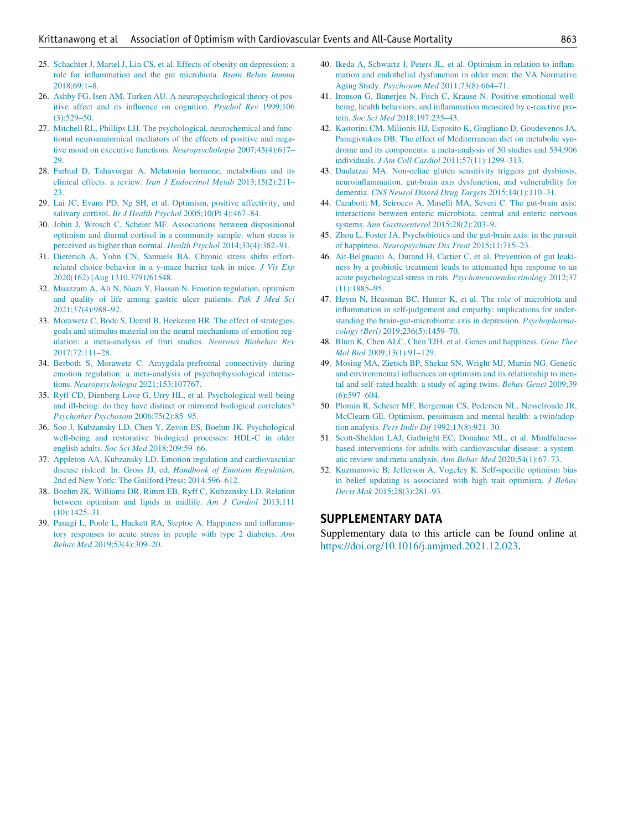- <span id="page-7-13"></span><span id="page-7-0"></span>25. [Schachter J, Martel J, Lin CS, et al. Effects of obesity on depression: a](http://refhub.elsevier.com/S0002-9343(22)00075-4/sbref1025) [role for inflammation and the gut microbiota.](http://refhub.elsevier.com/S0002-9343(22)00075-4/sbref1025) Brain Behav Immun [2018;69:1–8.](http://refhub.elsevier.com/S0002-9343(22)00075-4/sbref1025)
- <span id="page-7-14"></span><span id="page-7-1"></span>26. [Ashby FG, Isen AM, Turken AU. A neuropsychological theory of pos](http://refhub.elsevier.com/S0002-9343(22)00075-4/sbref0026)[itive affect and its influence on cognition.](http://refhub.elsevier.com/S0002-9343(22)00075-4/sbref0026) Psychol Rev 1999;106 [\(3\):529–50.](http://refhub.elsevier.com/S0002-9343(22)00075-4/sbref0026)
- <span id="page-7-15"></span><span id="page-7-2"></span>27. [Mitchell RL, Phillips LH. The psychological, neurochemical and func](http://refhub.elsevier.com/S0002-9343(22)00075-4/sbref1027)[tional neuroanatomical mediators of the effects of positive and nega](http://refhub.elsevier.com/S0002-9343(22)00075-4/sbref1027)[tive mood on executive functions.](http://refhub.elsevier.com/S0002-9343(22)00075-4/sbref1027) Neuropsychologia 2007;45(4):617– [29.](http://refhub.elsevier.com/S0002-9343(22)00075-4/sbref1027)
- <span id="page-7-16"></span><span id="page-7-3"></span>28. [Farhud D, Tahavorgar A. Melatonin hormone, metabolism and its](http://refhub.elsevier.com/S0002-9343(22)00075-4/sbref0028) [clinical effects: a review.](http://refhub.elsevier.com/S0002-9343(22)00075-4/sbref0028) Iran J Endocrinol Metab 2013;15(2):211– [23.](http://refhub.elsevier.com/S0002-9343(22)00075-4/sbref0028)
- <span id="page-7-4"></span>29. [Lai JC, Evans PD, Ng SH, et al. Optimism, positive affectivity, and](http://refhub.elsevier.com/S0002-9343(22)00075-4/sbref1029) salivary cortisol. Br J Health Psychol [2005;10\(Pt 4\):467–84.](http://refhub.elsevier.com/S0002-9343(22)00075-4/sbref1029)
- <span id="page-7-5"></span>30. [Jobin J, Wrosch C, Scheier MF. Associations between dispositional](http://refhub.elsevier.com/S0002-9343(22)00075-4/sbref0030) [optimism and diurnal cortisol in a community sample: when stress is](http://refhub.elsevier.com/S0002-9343(22)00075-4/sbref0030) [perceived as higher than normal.](http://refhub.elsevier.com/S0002-9343(22)00075-4/sbref0030) Health Psychol 2014;33(4):382–91.
- <span id="page-7-6"></span>31. [Dieterich A, Yohn CN, Samuels BA. Chronic stress shifts effort](http://refhub.elsevier.com/S0002-9343(22)00075-4/sbref0021)[related choice behavior in a y-maze barrier task in mice.](http://refhub.elsevier.com/S0002-9343(22)00075-4/sbref0021) J Vis Exp [2020\(162\) \[Aug 1310.3791/61548.](http://refhub.elsevier.com/S0002-9343(22)00075-4/sbref0021)
- <span id="page-7-17"></span><span id="page-7-7"></span>32. [Muazzam A, Ali N, Niazi Y, Hassan N. Emotion regulation, optimism](http://refhub.elsevier.com/S0002-9343(22)00075-4/sbref0022) [and quality of life among gastric ulcer patients.](http://refhub.elsevier.com/S0002-9343(22)00075-4/sbref0022) Pak J Med Sci [2021;37\(4\):988–92.](http://refhub.elsevier.com/S0002-9343(22)00075-4/sbref0022)
- <span id="page-7-18"></span><span id="page-7-8"></span>33. [Morawetz C, Bode S, Derntl B, Heekeren HR. The effect of strategies,](http://refhub.elsevier.com/S0002-9343(22)00075-4/sbref0023) [goals and stimulus material on the neural mechanisms of emotion reg](http://refhub.elsevier.com/S0002-9343(22)00075-4/sbref0023)[ulation: a meta-analysis of fmri studies.](http://refhub.elsevier.com/S0002-9343(22)00075-4/sbref0023) Neurosci Biobehav Rev [2017;72:111–28.](http://refhub.elsevier.com/S0002-9343(22)00075-4/sbref0023)
- <span id="page-7-19"></span><span id="page-7-9"></span>34. [Berboth S, Morawetz C. Amygdala-prefrontal connectivity during](http://refhub.elsevier.com/S0002-9343(22)00075-4/sbref0024) [emotion regulation: a meta-analysis of psychophysiological interac](http://refhub.elsevier.com/S0002-9343(22)00075-4/sbref0024)tions. Neuropsychologia [2021;153:107767.](http://refhub.elsevier.com/S0002-9343(22)00075-4/sbref0024)
- <span id="page-7-20"></span><span id="page-7-10"></span>35. [Ryff CD, Dienberg Love G, Urry HL, et al. Psychological well-being](http://refhub.elsevier.com/S0002-9343(22)00075-4/sbref0825) [and ill-being: do they have distinct or mirrored biological correlates?](http://refhub.elsevier.com/S0002-9343(22)00075-4/sbref0825) [Psychother Psychosom](http://refhub.elsevier.com/S0002-9343(22)00075-4/sbref0825) 2006;75(2):85–95.
- <span id="page-7-21"></span>36. [Soo J, Kubzansky LD, Chen Y, Zevon ES, Boehm JK. Psychological](http://refhub.elsevier.com/S0002-9343(22)00075-4/sbref0926) [well-being and restorative biological processes: HDL-C in older](http://refhub.elsevier.com/S0002-9343(22)00075-4/sbref0926) english adults. Soc Sci Med [2018;209:59–66.](http://refhub.elsevier.com/S0002-9343(22)00075-4/sbref0926)
- <span id="page-7-22"></span>37. [Appleton AA, Kubzansky LD. Emotion regulation and cardiovascular](http://refhub.elsevier.com/S0002-9343(22)00075-4/sbref0027) disease risk:ed. In: Gross JJ, ed. [Handbook of Emotion Regulation](http://refhub.elsevier.com/S0002-9343(22)00075-4/sbref0027), [2nd ed New York: The Guilford Press; 2014:596–612.](http://refhub.elsevier.com/S0002-9343(22)00075-4/sbref0027)
- <span id="page-7-11"></span>38. [Boehm JK, Williams DR, Rimm EB, Ryff C, Kubzansky LD. Relation](http://refhub.elsevier.com/S0002-9343(22)00075-4/sbref0628) [between optimism and lipids in midlife.](http://refhub.elsevier.com/S0002-9343(22)00075-4/sbref0628) Am J Cardiol 2013;111 [\(10\):1425–31.](http://refhub.elsevier.com/S0002-9343(22)00075-4/sbref0628)
- <span id="page-7-12"></span>39. [Panagi L, Poole L, Hackett RA, Steptoe A. Happiness and inflamma](http://refhub.elsevier.com/S0002-9343(22)00075-4/sbref0029)[tory responses to acute stress in people with type 2 diabetes.](http://refhub.elsevier.com/S0002-9343(22)00075-4/sbref0029) Ann Behav Med [2019;53\(4\):309–20.](http://refhub.elsevier.com/S0002-9343(22)00075-4/sbref0029)
- 40. [Ikeda A, Schwartz J, Peters JL, et al. Optimism in relation to inflam](http://refhub.elsevier.com/S0002-9343(22)00075-4/sbref0730)[mation and endothelial dysfunction in older men: the VA Normative](http://refhub.elsevier.com/S0002-9343(22)00075-4/sbref0730) Aging Study. Psychosom Med [2011;73\(8\):664–71.](http://refhub.elsevier.com/S0002-9343(22)00075-4/sbref0730)
- 41. [Ironson G, Banerjee N, Fitch C, Krause N. Positive emotional well](http://refhub.elsevier.com/S0002-9343(22)00075-4/sbref0031)[being, health behaviors, and inflammation measured by c-reactive pro](http://refhub.elsevier.com/S0002-9343(22)00075-4/sbref0031)tein. Soc Sci Med [2018;197:235–43.](http://refhub.elsevier.com/S0002-9343(22)00075-4/sbref0031)
- 42. [Kastorini CM, Milionis HJ, Esposito K, Giugliano D, Goudevenos JA,](http://refhub.elsevier.com/S0002-9343(22)00075-4/sbref0032) [Panagiotakos DB. The effect of Mediterranean diet on metabolic syn](http://refhub.elsevier.com/S0002-9343(22)00075-4/sbref0032)[drome and its components: a meta-analysis of 50 studies and 534,906](http://refhub.elsevier.com/S0002-9343(22)00075-4/sbref0032) individuals. J Am Coll Cardiol [2011;57\(11\):1299–313.](http://refhub.elsevier.com/S0002-9343(22)00075-4/sbref0032)
- 43. [Daulatzai MA. Non-celiac gluten sensitivity triggers gut dysbiosis,](http://refhub.elsevier.com/S0002-9343(22)00075-4/sbref0033) [neuroinflammation, gut-brain axis dysfunction, and vulnerability for](http://refhub.elsevier.com/S0002-9343(22)00075-4/sbref0033) dementia. [CNS Neurol Disord Drug Targets](http://refhub.elsevier.com/S0002-9343(22)00075-4/sbref0033) 2015;14(1):110–31.
- 44. [Carabotti M, Scirocco A, Maselli MA, Severi C. The gut-brain axis:](http://refhub.elsevier.com/S0002-9343(22)00075-4/sbref0034) [interactions between enteric microbiota, central and enteric nervous](http://refhub.elsevier.com/S0002-9343(22)00075-4/sbref0034) systems. [Ann Gastroenterol](http://refhub.elsevier.com/S0002-9343(22)00075-4/sbref0034) 2015;28(2):203–9.
- 45. [Zhou L, Foster JA. Psychobiotics and the gut-brain axis: in the pursuit](http://refhub.elsevier.com/S0002-9343(22)00075-4/sbref0035) of happiness. [Neuropsychiatr Dis Treat](http://refhub.elsevier.com/S0002-9343(22)00075-4/sbref0035) 2015;11:715–23.
- 46. [Ait-Belgnaoui A, Durand H, Cartier C, et al. Prevention of gut leaki](http://refhub.elsevier.com/S0002-9343(22)00075-4/sbref0036)[ness by a probiotic treatment leads to attenuated hpa response to an](http://refhub.elsevier.com/S0002-9343(22)00075-4/sbref0036) [acute psychological stress in rats.](http://refhub.elsevier.com/S0002-9343(22)00075-4/sbref0036) Psychoneuroendocrinology 2012;37 [\(11\):1885–95.](http://refhub.elsevier.com/S0002-9343(22)00075-4/sbref0036)
- 47. [Heym N, Heasman BC, Hunter K, et al. The role of microbiota and](http://refhub.elsevier.com/S0002-9343(22)00075-4/sbref0037) [inflammation in self-judgement and empathy: implications for under](http://refhub.elsevier.com/S0002-9343(22)00075-4/sbref0037)[standing the brain-gut-microbiome axis in depression.](http://refhub.elsevier.com/S0002-9343(22)00075-4/sbref0037) Psychopharmacology (Berl) [2019;236\(5\):1459–70.](http://refhub.elsevier.com/S0002-9343(22)00075-4/sbref0037)
- 48. [Blum K, Chen ALC, Chen TJH, et al. Genes and happiness.](http://refhub.elsevier.com/S0002-9343(22)00075-4/sbref0038) Gene Ther Mol Biol [2009;13\(1\):91–129.](http://refhub.elsevier.com/S0002-9343(22)00075-4/sbref0038)
- 49. [Mosing MA, Zietsch BP, Shekar SN, Wright MJ, Martin NG. Genetic](http://refhub.elsevier.com/S0002-9343(22)00075-4/sbref0039) [and environmental influences on optimism and its relationship to men](http://refhub.elsevier.com/S0002-9343(22)00075-4/sbref0039)[tal and self-rated health: a study of aging twins.](http://refhub.elsevier.com/S0002-9343(22)00075-4/sbref0039) Behav Genet 2009;39 [\(6\):597–604.](http://refhub.elsevier.com/S0002-9343(22)00075-4/sbref0039)
- 50. [Plomin R, Scheier MF, Bergeman CS, Pedersen NL, Nesselroade JR,](http://refhub.elsevier.com/S0002-9343(22)00075-4/sbref0040) [McClearn GE. Optimism, pessimism and mental health: a twin/adop](http://refhub.elsevier.com/S0002-9343(22)00075-4/sbref0040)tion analysis. Pers Indiv Dif [1992;13\(8\):921–30.](http://refhub.elsevier.com/S0002-9343(22)00075-4/sbref0040)
- 51. [Scott-Sheldon LAJ, Gathright EC, Donahue ML, et al. Mindfulness](http://refhub.elsevier.com/S0002-9343(22)00075-4/sbref0041)[based interventions for adults with cardiovascular disease: a system](http://refhub.elsevier.com/S0002-9343(22)00075-4/sbref0041)[atic review and meta-analysis.](http://refhub.elsevier.com/S0002-9343(22)00075-4/sbref0041) Ann Behav Med 2020;54(1):67–73.
- 52. [Kuzmanovic B, Jefferson A, Vogeley K. Self-specific optimism bias](http://refhub.elsevier.com/S0002-9343(22)00075-4/sbref0042) [in belief updating is associated with high trait optimism.](http://refhub.elsevier.com/S0002-9343(22)00075-4/sbref0042) J Behav Decis Mak [2015;28\(3\):281–93.](http://refhub.elsevier.com/S0002-9343(22)00075-4/sbref0042)

#### SUPPLEMENTARY DATA

Supplementary data to this article can be found online at <https://doi.org/10.1016/j.amjmed.2021.12.023>.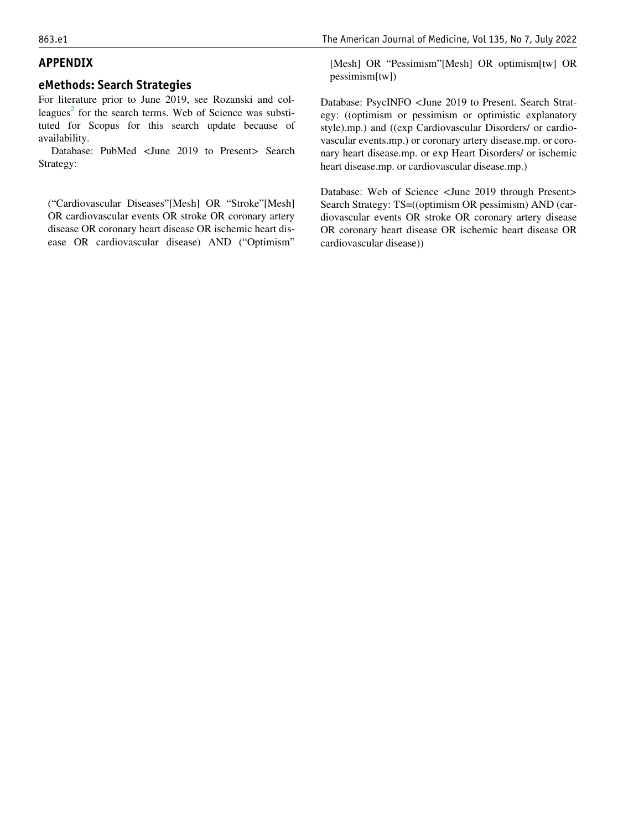# <span id="page-8-0"></span>APPENDIX

#### eMethods: Search Strategies

For literature prior to June 2019, see Rozanski and col-leagues<sup>[2](#page-6-1)</sup> for the search terms. Web of Science was substituted for Scopus for this search update because of availability.

Database: PubMed <June 2019 to Present> Search Strategy:

("Cardiovascular Diseases"[Mesh] OR "Stroke"[Mesh] OR cardiovascular events OR stroke OR coronary artery disease OR coronary heart disease OR ischemic heart disease OR cardiovascular disease) AND ("Optimism" [Mesh] OR "Pessimism"[Mesh] OR optimism[tw] OR pessimism[tw])

Database: PsycINFO <June 2019 to Present. Search Strategy: ((optimism or pessimism or optimistic explanatory style).mp.) and ((exp Cardiovascular Disorders/ or cardiovascular events.mp.) or coronary artery disease.mp. or coronary heart disease.mp. or exp Heart Disorders/ or ischemic heart disease.mp. or cardiovascular disease.mp.)

Database: Web of Science <June 2019 through Present> Search Strategy: TS=((optimism OR pessimism) AND (cardiovascular events OR stroke OR coronary artery disease OR coronary heart disease OR ischemic heart disease OR cardiovascular disease))